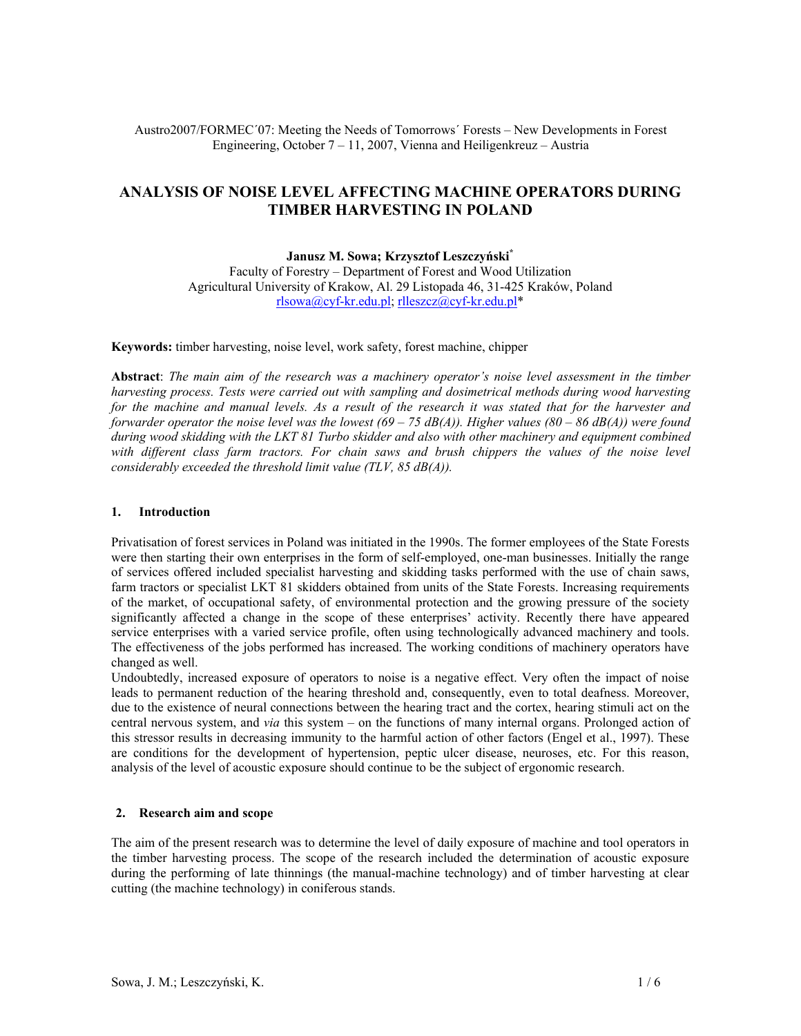# Austro2007/FORMEC´07: Meeting the Needs of Tomorrows´ Forests – New Developments in Forest Engineering, October 7 – 11, 2007, Vienna and Heiligenkreuz – Austria

# **ANALYSIS OF NOISE LEVEL AFFECTING MACHINE OPERATORS DURING TIMBER HARVESTING IN POLAND**

**Janusz M. Sowa; Krzysztof Leszczyński\*** Faculty of Forestry – Department of Forest and Wood Utilization Agricultural University of Krakow, Al. 29 Listopada 46, 31-425 Kraków, Poland rlsowa@cyf-kr.edu.pl; rlleszcz@cyf-kr.edu.pl\*

**Keywords:** timber harvesting, noise level, work safety, forest machine, chipper

**Abstract**: *The main aim of the research was a machinery operator's noise level assessment in the timber harvesting process. Tests were carried out with sampling and dosimetrical methods during wood harvesting for the machine and manual levels. As a result of the research it was stated that for the harvester and forwarder operator the noise level was the lowest (69 – 75 dB(A)). Higher values (80 – 86 dB(A)) were found during wood skidding with the LKT 81 Turbo skidder and also with other machinery and equipment combined*  with different class farm tractors. For chain saws and brush chippers the values of the noise level *considerably exceeded the threshold limit value (TLV, 85 dB(A)).* 

### **1. Introduction**

Privatisation of forest services in Poland was initiated in the 1990s. The former employees of the State Forests were then starting their own enterprises in the form of self-employed, one-man businesses. Initially the range of services offered included specialist harvesting and skidding tasks performed with the use of chain saws, farm tractors or specialist LKT 81 skidders obtained from units of the State Forests. Increasing requirements of the market, of occupational safety, of environmental protection and the growing pressure of the society significantly affected a change in the scope of these enterprises' activity. Recently there have appeared service enterprises with a varied service profile, often using technologically advanced machinery and tools. The effectiveness of the jobs performed has increased. The working conditions of machinery operators have changed as well.

Undoubtedly, increased exposure of operators to noise is a negative effect. Very often the impact of noise leads to permanent reduction of the hearing threshold and, consequently, even to total deafness. Moreover, due to the existence of neural connections between the hearing tract and the cortex, hearing stimuli act on the central nervous system, and *via* this system – on the functions of many internal organs. Prolonged action of this stressor results in decreasing immunity to the harmful action of other factors (Engel et al., 1997). These are conditions for the development of hypertension, peptic ulcer disease, neuroses, etc. For this reason, analysis of the level of acoustic exposure should continue to be the subject of ergonomic research.

## **2. Research aim and scope**

The aim of the present research was to determine the level of daily exposure of machine and tool operators in the timber harvesting process. The scope of the research included the determination of acoustic exposure during the performing of late thinnings (the manual-machine technology) and of timber harvesting at clear cutting (the machine technology) in coniferous stands.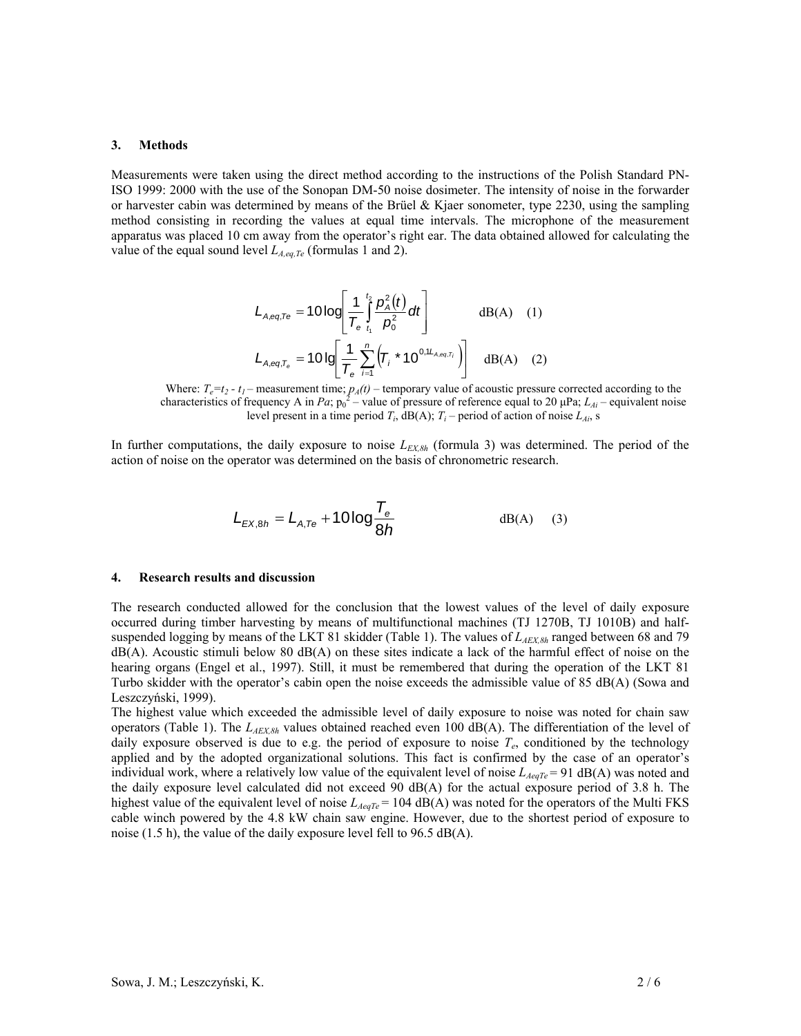#### **3. Methods**

Measurements were taken using the direct method according to the instructions of the Polish Standard PN-ISO 1999: 2000 with the use of the Sonopan DM-50 noise dosimeter. The intensity of noise in the forwarder or harvester cabin was determined by means of the Brüel & Kjaer sonometer, type 2230, using the sampling method consisting in recording the values at equal time intervals. The microphone of the measurement apparatus was placed 10 cm away from the operator's right ear. The data obtained allowed for calculating the value of the equal sound level  $L_{A,eq,Te}$  (formulas 1 and 2).

$$
L_{A,eq,Te} = 10 \log \left[ \frac{1}{T_e} \int_{t_1}^{t_2} \frac{p_A^2(t)}{p_0^2} dt \right]
$$
 dB(A) (1)  

$$
L_{A,eq,T_e} = 10 \log \left[ \frac{1}{T_e} \sum_{i=1}^{n} \left( T_i * 10^{0,1L_{A,eq,T_i}} \right) \right]
$$
 dB(A) (2)

Where:  $T_e = t_2 - t_1$  – measurement time;  $p_A(t)$  – temporary value of acoustic pressure corrected according to the characteristics of frequency A in *Pa*;  $p_0^2$  – value of pressure of reference equal to 20  $\mu$ Pa;  $L_{Ai}$  – equivalent noise level present in a time period  $T_i$ , dB(A);  $T_i$  – period of action of noise  $L_{Ai}$ , s

In further computations, the daily exposure to noise  $L_{EX,8h}$  (formula 3) was determined. The period of the action of noise on the operator was determined on the basis of chronometric research.

$$
L_{EX,8h} = L_{A,Te} + 10\log \frac{T_e}{8h}
$$
 dB(A) (3)

#### **4. Research results and discussion**

The research conducted allowed for the conclusion that the lowest values of the level of daily exposure occurred during timber harvesting by means of multifunctional machines (TJ 1270B, TJ 1010B) and halfsuspended logging by means of the LKT 81 skidder (Table 1). The values of  $L_{AEX,8h}$  ranged between 68 and 79  $dB(A)$ . Acoustic stimuli below 80  $dB(A)$  on these sites indicate a lack of the harmful effect of noise on the hearing organs (Engel et al., 1997). Still, it must be remembered that during the operation of the LKT 81 Turbo skidder with the operator's cabin open the noise exceeds the admissible value of 85 dB(A) (Sowa and Leszczyński, 1999).

The highest value which exceeded the admissible level of daily exposure to noise was noted for chain saw operators (Table 1). The *LAEX,8h* values obtained reached even 100 dB(A). The differentiation of the level of daily exposure observed is due to e.g. the period of exposure to noise  $T_e$ , conditioned by the technology applied and by the adopted organizational solutions. This fact is confirmed by the case of an operator's individual work, where a relatively low value of the equivalent level of noise  $L_{AeqTe}$  = 91 dB(A) was noted and the daily exposure level calculated did not exceed 90 dB(A) for the actual exposure period of 3.8 h. The highest value of the equivalent level of noise  $L_{AeqTe} = 104$  dB(A) was noted for the operators of the Multi FKS cable winch powered by the 4.8 kW chain saw engine. However, due to the shortest period of exposure to noise (1.5 h), the value of the daily exposure level fell to 96.5 dB(A).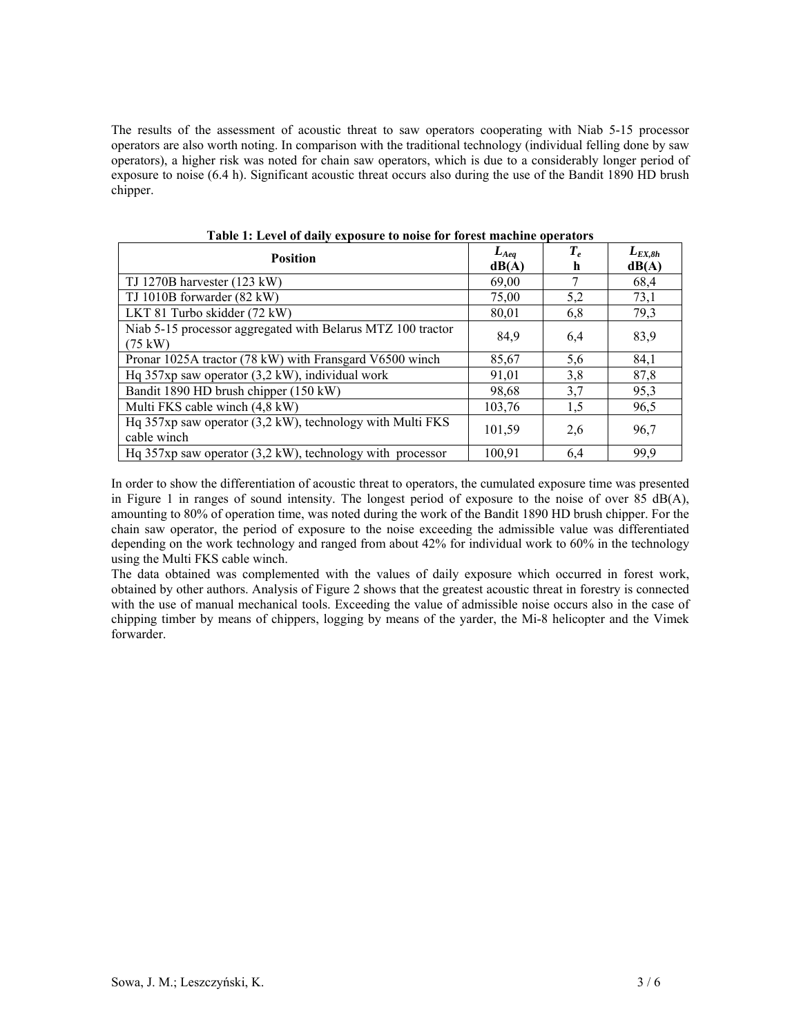The results of the assessment of acoustic threat to saw operators cooperating with Niab 5-15 processor operators are also worth noting. In comparison with the traditional technology (individual felling done by saw operators), a higher risk was noted for chain saw operators, which is due to a considerably longer period of exposure to noise (6.4 h). Significant acoustic threat occurs also during the use of the Bandit 1890 HD brush chipper.

| <b>Position</b>                                                                  | $L_{Aeq}$<br>dB(A) | $T_e$<br>h | $L_{EX,8h}$<br>dB(A) |
|----------------------------------------------------------------------------------|--------------------|------------|----------------------|
| TJ 1270B harvester $(123 \text{ kW})$                                            | 69.00              |            | 68,4                 |
| TJ 1010B forwarder (82 kW)                                                       | 75,00              | 5,2        | 73,1                 |
| LKT 81 Turbo skidder (72 kW)                                                     | 80,01              | 6.8        | 79,3                 |
| Niab 5-15 processor aggregated with Belarus MTZ 100 tractor<br>$(75 \text{ kW})$ | 84,9               | 6,4        | 83,9                 |
| Pronar 1025A tractor (78 kW) with Fransgard V6500 winch                          | 85,67              | 5,6        | 84,1                 |
| Hq $357xp$ saw operator $(3,2 kW)$ , individual work                             | 91,01              | 3,8        | 87,8                 |
| Bandit 1890 HD brush chipper (150 kW)                                            | 98,68              | 3,7        | 95,3                 |
| Multi FKS cable winch (4,8 kW)                                                   | 103,76             | 1,5        | 96,5                 |
| Hq 357xp saw operator (3,2 kW), technology with Multi FKS<br>cable winch         | 101,59             | 2.6        | 96,7                 |
| Hq $357xp$ saw operator $(3,2 kW)$ , technology with processor                   | 100,91             | 6,4        | 99,9                 |

**Table 1: Level of daily exposure to noise for forest machine operators** 

In order to show the differentiation of acoustic threat to operators, the cumulated exposure time was presented in Figure 1 in ranges of sound intensity. The longest period of exposure to the noise of over 85 dB(A), amounting to 80% of operation time, was noted during the work of the Bandit 1890 HD brush chipper. For the chain saw operator, the period of exposure to the noise exceeding the admissible value was differentiated depending on the work technology and ranged from about 42% for individual work to 60% in the technology using the Multi FKS cable winch.

The data obtained was complemented with the values of daily exposure which occurred in forest work, obtained by other authors. Analysis of Figure 2 shows that the greatest acoustic threat in forestry is connected with the use of manual mechanical tools. Exceeding the value of admissible noise occurs also in the case of chipping timber by means of chippers, logging by means of the yarder, the Mi-8 helicopter and the Vimek forwarder.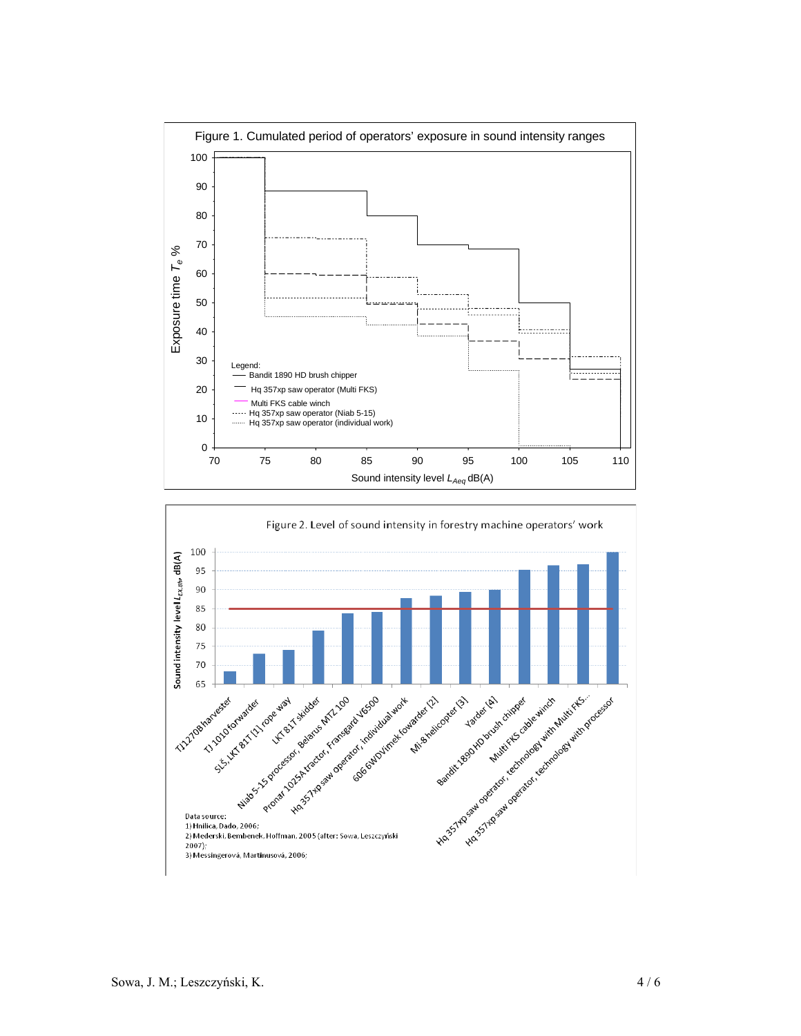

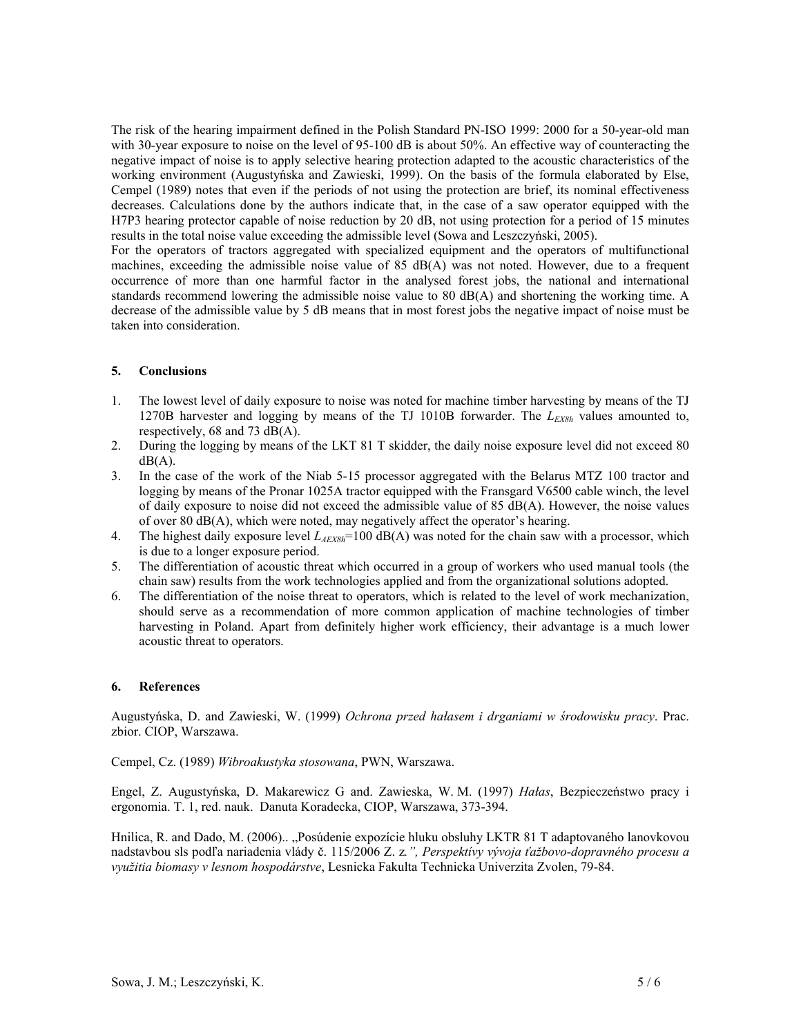The risk of the hearing impairment defined in the Polish Standard PN-ISO 1999: 2000 for a 50-year-old man with 30-year exposure to noise on the level of 95-100 dB is about 50%. An effective way of counteracting the negative impact of noise is to apply selective hearing protection adapted to the acoustic characteristics of the working environment (Augustyńska and Zawieski, 1999). On the basis of the formula elaborated by Else, Cempel (1989) notes that even if the periods of not using the protection are brief, its nominal effectiveness decreases. Calculations done by the authors indicate that, in the case of a saw operator equipped with the H7P3 hearing protector capable of noise reduction by 20 dB, not using protection for a period of 15 minutes results in the total noise value exceeding the admissible level (Sowa and Leszczyński, 2005).

For the operators of tractors aggregated with specialized equipment and the operators of multifunctional machines, exceeding the admissible noise value of 85 dB(A) was not noted. However, due to a frequent occurrence of more than one harmful factor in the analysed forest jobs, the national and international standards recommend lowering the admissible noise value to 80 dB(A) and shortening the working time. A decrease of the admissible value by 5 dB means that in most forest jobs the negative impact of noise must be taken into consideration.

# **5. Conclusions**

- 1. The lowest level of daily exposure to noise was noted for machine timber harvesting by means of the TJ 1270B harvester and logging by means of the TJ 1010B forwarder. The  $L_{EX8h}$  values amounted to, respectively, 68 and 73  $dB(A)$ .
- 2. During the logging by means of the LKT 81 T skidder, the daily noise exposure level did not exceed 80  $dB(A)$ .
- 3. In the case of the work of the Niab 5-15 processor aggregated with the Belarus MTZ 100 tractor and logging by means of the Pronar 1025A tractor equipped with the Fransgard V6500 cable winch, the level of daily exposure to noise did not exceed the admissible value of 85  $\overline{d}B(A)$ . However, the noise values of over 80 dB(A), which were noted, may negatively affect the operator's hearing.
- 4. The highest daily exposure level *LAEX8h*=100 dB(A) was noted for the chain saw with a processor, which is due to a longer exposure period.
- 5. The differentiation of acoustic threat which occurred in a group of workers who used manual tools (the chain saw) results from the work technologies applied and from the organizational solutions adopted.
- 6. The differentiation of the noise threat to operators, which is related to the level of work mechanization, should serve as a recommendation of more common application of machine technologies of timber harvesting in Poland. Apart from definitely higher work efficiency, their advantage is a much lower acoustic threat to operators.

## **6. References**

Augustyńska, D. and Zawieski, W. (1999) *Ochrona przed hałasem i drganiami w środowisku pracy*. Prac. zbior. CIOP, Warszawa.

Cempel, Cz. (1989) *Wibroakustyka stosowana*, PWN, Warszawa.

Engel, Z. Augustyńska, D. Makarewicz G and. Zawieska, W. M. (1997) *Hałas*, Bezpieczeństwo pracy i ergonomia. T. 1, red. nauk. Danuta Koradecka, CIOP, Warszawa, 373-394.

Hnilica, R. and Dado, M. (2006).. "Posúdenie expozície hluku obsluhy LKTR 81 T adaptovaného lanovkovou nadstavbou sls podľa nariadenia vlády č. 115/2006 Z. z*.", Perspektívy vývoja ťažbovo-dopravného procesu a využitia biomasy v lesnom hospodárstve*, Lesnicka Fakulta Technicka Univerzita Zvolen, 79-84.